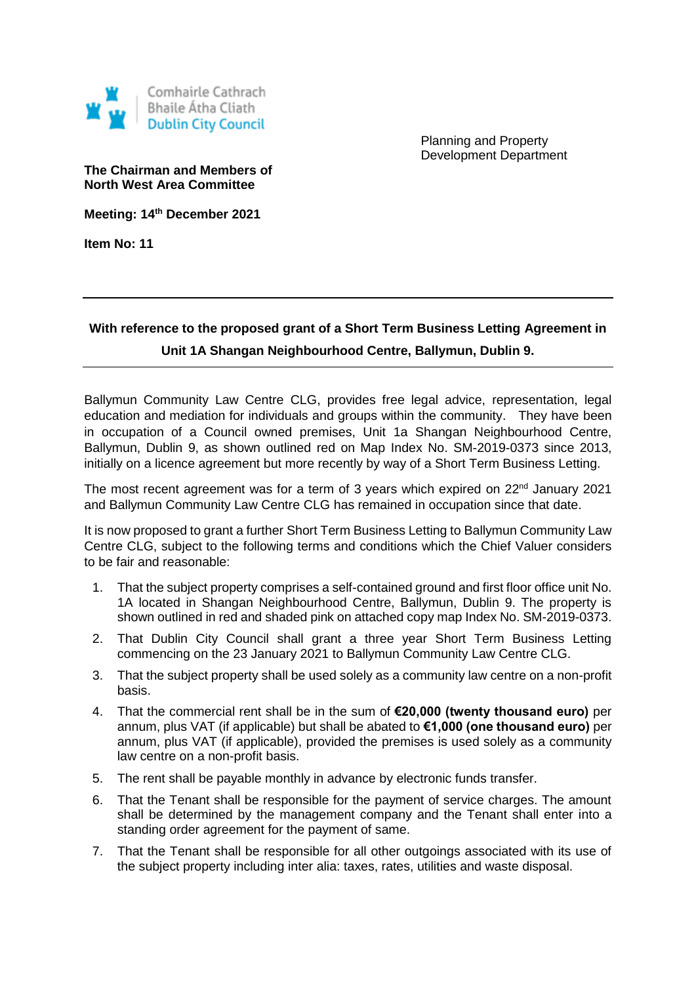

Planning and Property Development Department

**The Chairman and Members of North West Area Committee**

**Meeting: 14th December 2021**

**Item No: 11**

## **With reference to the proposed grant of a Short Term Business Letting Agreement in Unit 1A Shangan Neighbourhood Centre, Ballymun, Dublin 9.**

Ballymun Community Law Centre CLG, provides free legal advice, representation, legal education and mediation for individuals and groups within the community. They have been in occupation of a Council owned premises, Unit 1a Shangan Neighbourhood Centre, Ballymun, Dublin 9, as shown outlined red on Map Index No. SM-2019-0373 since 2013, initially on a licence agreement but more recently by way of a Short Term Business Letting.

The most recent agreement was for a term of 3 years which expired on  $22<sup>nd</sup>$  January 2021 and Ballymun Community Law Centre CLG has remained in occupation since that date.

It is now proposed to grant a further Short Term Business Letting to Ballymun Community Law Centre CLG, subject to the following terms and conditions which the Chief Valuer considers to be fair and reasonable:

- 1. That the subject property comprises a self-contained ground and first floor office unit No. 1A located in Shangan Neighbourhood Centre, Ballymun, Dublin 9. The property is shown outlined in red and shaded pink on attached copy map Index No. SM-2019-0373.
- 2. That Dublin City Council shall grant a three year Short Term Business Letting commencing on the 23 January 2021 to Ballymun Community Law Centre CLG.
- 3. That the subject property shall be used solely as a community law centre on a non-profit basis.
- 4. That the commercial rent shall be in the sum of **€20,000 (twenty thousand euro)** per annum, plus VAT (if applicable) but shall be abated to **€1,000 (one thousand euro)** per annum, plus VAT (if applicable), provided the premises is used solely as a community law centre on a non-profit basis.
- 5. The rent shall be payable monthly in advance by electronic funds transfer.
- 6. That the Tenant shall be responsible for the payment of service charges. The amount shall be determined by the management company and the Tenant shall enter into a standing order agreement for the payment of same.
- 7. That the Tenant shall be responsible for all other outgoings associated with its use of the subject property including inter alia: taxes, rates, utilities and waste disposal.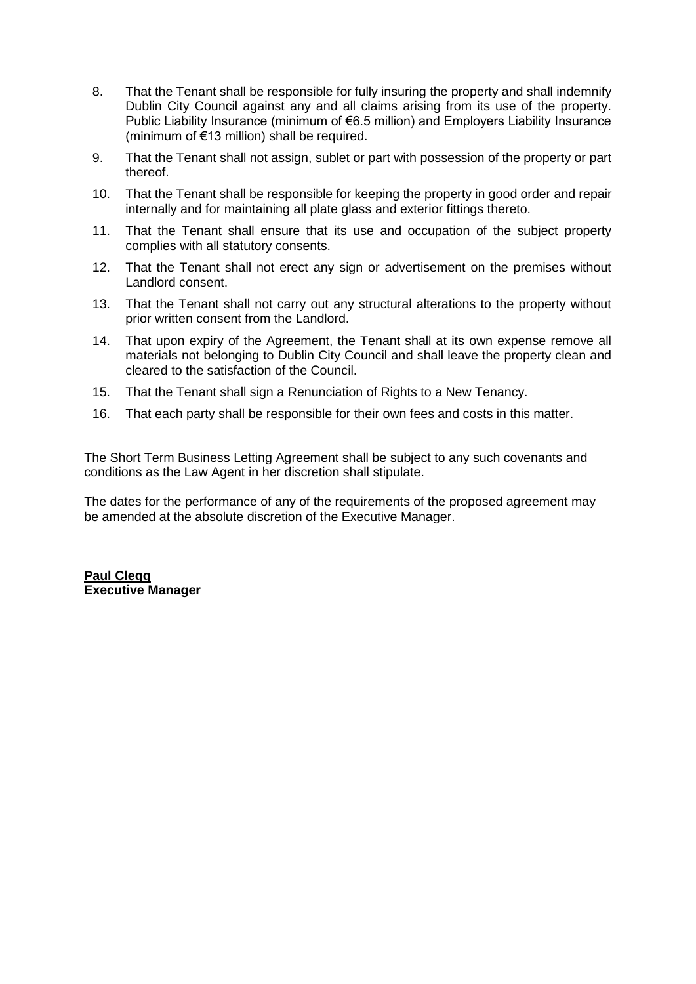- 8. That the Tenant shall be responsible for fully insuring the property and shall indemnify Dublin City Council against any and all claims arising from its use of the property. Public Liability Insurance (minimum of €6.5 million) and Employers Liability Insurance (minimum of  $\epsilon$ 13 million) shall be required.
- 9. That the Tenant shall not assign, sublet or part with possession of the property or part thereof.
- 10. That the Tenant shall be responsible for keeping the property in good order and repair internally and for maintaining all plate glass and exterior fittings thereto.
- 11. That the Tenant shall ensure that its use and occupation of the subject property complies with all statutory consents.
- 12. That the Tenant shall not erect any sign or advertisement on the premises without Landlord consent.
- 13. That the Tenant shall not carry out any structural alterations to the property without prior written consent from the Landlord.
- 14. That upon expiry of the Agreement, the Tenant shall at its own expense remove all materials not belonging to Dublin City Council and shall leave the property clean and cleared to the satisfaction of the Council.
- 15. That the Tenant shall sign a Renunciation of Rights to a New Tenancy.
- 16. That each party shall be responsible for their own fees and costs in this matter.

The Short Term Business Letting Agreement shall be subject to any such covenants and conditions as the Law Agent in her discretion shall stipulate.

The dates for the performance of any of the requirements of the proposed agreement may be amended at the absolute discretion of the Executive Manager.

**Paul Clegg Executive Manager**